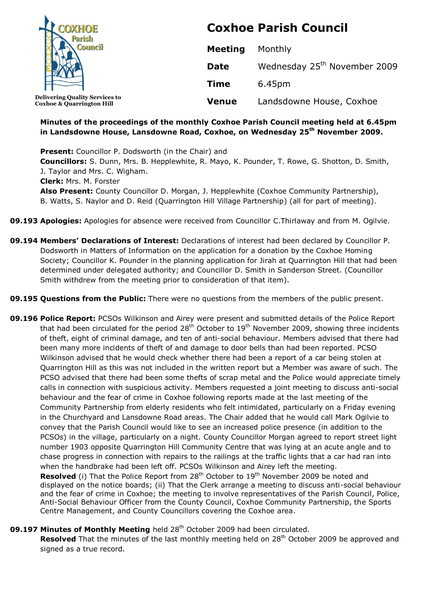

**Coxhoe & Quarrington Hill**

**Coxhoe Parish Council**

| <b>Meeting</b> | Monthly                                  |
|----------------|------------------------------------------|
| Date           | Wednesday 25 <sup>th</sup> November 2009 |
| <b>Time</b>    | 6.45pm                                   |
| <b>Venue</b>   | Landsdowne House, Coxhoe                 |

#### **Minutes of the proceedings of the monthly Coxhoe Parish Council meeting held at 6.45pm in Landsdowne House, Lansdowne Road, Coxhoe, on Wednesday 25 th November 2009.**

**Present:** Councillor P. Dodsworth (in the Chair) and **Councillors:** S. Dunn, Mrs. B. Hepplewhite, R. Mayo, K. Pounder, T. Rowe, G. Shotton, D. Smith, J. Taylor and Mrs. C. Wigham. **Clerk:** Mrs. M. Forster **Also Present:** County Councillor D. Morgan, J. Hepplewhite (Coxhoe Community Partnership), B. Watts, S. Naylor and D. Reid (Quarrington Hill Village Partnership) (all for part of meeting).

### **09.193 Apologies:** Apologies for absence were received from Councillor C.Thirlaway and from M. Ogilvie.

- **09.194 Members' Declarations of Interest:** Declarations of interest had been declared by Councillor P. Dodsworth in Matters of Information on the application for a donation by the Coxhoe Homing Society; Councillor K. Pounder in the planning application for Jirah at Quarrington Hill that had been determined under delegated authority; and Councillor D. Smith in Sanderson Street. (Councillor Smith withdrew from the meeting prior to consideration of that item).
- **09.195 Questions from the Public:** There were no questions from the members of the public present.
- **09.196 Police Report:** PCSOs Wilkinson and Airey were present and submitted details of the Police Report that had been circulated for the period 28<sup>th</sup> October to 19<sup>th</sup> November 2009, showing three incidents of theft, eight of criminal damage, and ten of anti-social behaviour. Members advised that there had been many more incidents of theft of and damage to door bells than had been reported. PCSO Wilkinson advised that he would check whether there had been a report of a car being stolen at Quarrington Hill as this was not included in the written report but a Member was aware of such. The PCSO advised that there had been some thefts of scrap metal and the Police would appreciate timely calls in connection with suspicious activity. Members requested a joint meeting to discuss anti-social behaviour and the fear of crime in Coxhoe following reports made at the last meeting of the Community Partnership from elderly residents who felt intimidated, particularly on a Friday evening in the Churchyard and Lansdowne Road areas. The Chair added that he would call Mark Ogilvie to convey that the Parish Council would like to see an increased police presence (in addition to the PCSOs) in the village, particularly on a night. County Councillor Morgan agreed to report street light number 1903 opposite Quarrington Hill Community Centre that was lying at an acute angle and to chase progress in connection with repairs to the railings at the traffic lights that a car had ran into when the handbrake had been left off. PCSOs Wilkinson and Airey left the meeting.

**Resolved** (i) That the Police Report from 28<sup>th</sup> October to 19<sup>th</sup> November 2009 be noted and displayed on the notice boards; (ii) That the Clerk arrange a meeting to discuss anti-social behaviour and the fear of crime in Coxhoe; the meeting to involve representatives of the Parish Council, Police, Anti-Social Behaviour Officer from the County Council, Coxhoe Community Partnership, the Sports Centre Management, and County Councillors covering the Coxhoe area.

## **09.197 Minutes of Monthly Meeting** held 28<sup>th</sup> October 2009 had been circulated.

**Resolved** That the minutes of the last monthly meeting held on 28<sup>th</sup> October 2009 be approved and signed as a true record.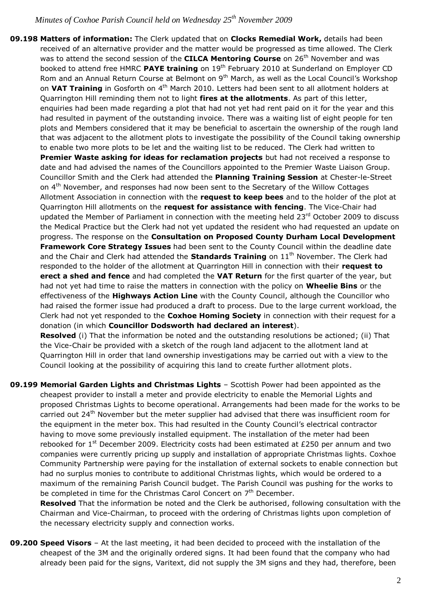**09.198 Matters of information:** The Clerk updated that on **Clocks Remedial Work,** details had been received of an alternative provider and the matter would be progressed as time allowed. The Clerk was to attend the second session of the **CILCA Mentoring Course** on 26<sup>th</sup> November and was booked to attend free HMRC **PAYE training** on 19th February 2010 at Sunderland on Employer CD Rom and an Annual Return Course at Belmont on 9<sup>th</sup> March, as well as the Local Council's Workshop on VAT Training in Gosforth on 4<sup>th</sup> March 2010. Letters had been sent to all allotment holders at Quarrington Hill reminding them not to light **fires at the allotments**. As part of this letter, enquiries had been made regarding a plot that had not yet had rent paid on it for the year and this had resulted in payment of the outstanding invoice. There was a waiting list of eight people for ten plots and Members considered that it may be beneficial to ascertain the ownership of the rough land that was adjacent to the allotment plots to investigate the possibility of the Council taking ownership to enable two more plots to be let and the waiting list to be reduced. The Clerk had written to **Premier Waste asking for ideas for reclamation projects** but had not received a response to date and had advised the names of the Councillors appointed to the Premier Waste Liaison Group. Councillor Smith and the Clerk had attended the **Planning Training Session** at Chester-le-Street on 4<sup>th</sup> November, and responses had now been sent to the Secretary of the Willow Cottages Allotment Association in connection with the **request to keep bees** and to the holder of the plot at Quarrington Hill allotments on the **request for assistance with fencing**. The Vice-Chair had updated the Member of Parliament in connection with the meeting held 23<sup>rd</sup> October 2009 to discuss the Medical Practice but the Clerk had not yet updated the resident who had requested an update on progress. The response on the **Consultation on Proposed County Durham Local Development Framework Core Strategy Issues** had been sent to the County Council within the deadline date and the Chair and Clerk had attended the **Standards Training** on 11<sup>th</sup> November. The Clerk had responded to the holder of the allotment at Quarrington Hill in connection with their **request to erect a shed and fence** and had completed the **VAT Return** for the first quarter of the year, but had not yet had time to raise the matters in connection with the policy on **Wheelie Bins** or the effectiveness of the **Highways Action Line** with the County Council, although the Councillor who had raised the former issue had produced a draft to process. Due to the large current workload, the Clerk had not yet responded to the **Coxhoe Homing Society** in connection with their request for a donation (in which **Councillor Dodsworth had declared an interest**).

**Resolved** (i) That the information be noted and the outstanding resolutions be actioned; (ii) That the Vice-Chair be provided with a sketch of the rough land adjacent to the allotment land at Quarrington Hill in order that land ownership investigations may be carried out with a view to the Council looking at the possibility of acquiring this land to create further allotment plots.

**09.199 Memorial Garden Lights and Christmas Lights** – Scottish Power had been appointed as the cheapest provider to install a meter and provide electricity to enable the Memorial Lights and proposed Christmas Lights to become operational. Arrangements had been made for the works to be carried out 24<sup>th</sup> November but the meter supplier had advised that there was insufficient room for the equipment in the meter box. This had resulted in the County Council's electrical contractor having to move some previously installed equipment. The installation of the meter had been rebooked for  $1<sup>st</sup>$  December 2009. Electricity costs had been estimated at £250 per annum and two companies were currently pricing up supply and installation of appropriate Christmas lights. Coxhoe Community Partnership were paying for the installation of external sockets to enable connection but had no surplus monies to contribute to additional Christmas lights, which would be ordered to a maximum of the remaining Parish Council budget. The Parish Council was pushing for the works to be completed in time for the Christmas Carol Concert on  $7<sup>th</sup>$  December.

**Resolved** That the information be noted and the Clerk be authorised, following consultation with the Chairman and Vice-Chairman, to proceed with the ordering of Christmas lights upon completion of the necessary electricity supply and connection works.

**09.200 Speed Visors** – At the last meeting, it had been decided to proceed with the installation of the cheapest of the 3M and the originally ordered signs. It had been found that the company who had already been paid for the signs, Varitext, did not supply the 3M signs and they had, therefore, been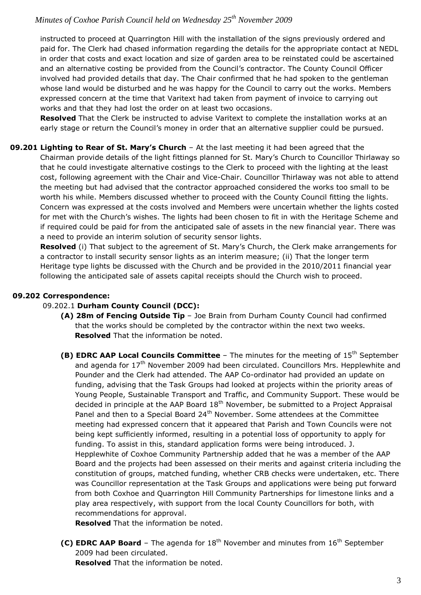instructed to proceed at Quarrington Hill with the installation of the signs previously ordered and paid for. The Clerk had chased information regarding the details for the appropriate contact at NEDL in order that costs and exact location and size of garden area to be reinstated could be ascertained and an alternative costing be provided from the Council's contractor. The County Council Officer involved had provided details that day. The Chair confirmed that he had spoken to the gentleman whose land would be disturbed and he was happy for the Council to carry out the works. Members expressed concern at the time that Varitext had taken from payment of invoice to carrying out works and that they had lost the order on at least two occasions.

**Resolved** That the Clerk be instructed to advise Varitext to complete the installation works at an early stage or return the Council's money in order that an alternative supplier could be pursued.

**09.201 Lighting to Rear of St. Mary's Church** – At the last meeting it had been agreed that the Chairman provide details of the light fittings planned for St. Mary's Church to Councillor Thirlaway so that he could investigate alternative costings to the Clerk to proceed with the lighting at the least cost, following agreement with the Chair and Vice-Chair. Councillor Thirlaway was not able to attend the meeting but had advised that the contractor approached considered the works too small to be worth his while. Members discussed whether to proceed with the County Council fitting the lights. Concern was expressed at the costs involved and Members were uncertain whether the lights costed for met with the Church's wishes. The lights had been chosen to fit in with the Heritage Scheme and if required could be paid for from the anticipated sale of assets in the new financial year. There was a need to provide an interim solution of security sensor lights.

**Resolved** (i) That subject to the agreement of St. Mary's Church, the Clerk make arrangements for a contractor to install security sensor lights as an interim measure; (ii) That the longer term Heritage type lights be discussed with the Church and be provided in the 2010/2011 financial year following the anticipated sale of assets capital receipts should the Church wish to proceed.

#### **09.202 Correspondence:**

#### 09.202.1 **Durham County Council (DCC):**

- **(A) 28m of Fencing Outside Tip** Joe Brain from Durham County Council had confirmed that the works should be completed by the contractor within the next two weeks. **Resolved** That the information be noted.
- **(B) EDRC AAP Local Councils Committee** The minutes for the meeting of 15<sup>th</sup> September and agenda for 17<sup>th</sup> November 2009 had been circulated. Councillors Mrs. Hepplewhite and Pounder and the Clerk had attended. The AAP Co-ordinator had provided an update on funding, advising that the Task Groups had looked at projects within the priority areas of Young People, Sustainable Transport and Traffic, and Community Support. These would be decided in principle at the AAP Board  $18<sup>th</sup>$  November, be submitted to a Project Appraisal Panel and then to a Special Board 24<sup>th</sup> November. Some attendees at the Committee meeting had expressed concern that it appeared that Parish and Town Councils were not being kept sufficiently informed, resulting in a potential loss of opportunity to apply for funding. To assist in this, standard application forms were being introduced. J. Hepplewhite of Coxhoe Community Partnership added that he was a member of the AAP Board and the projects had been assessed on their merits and against criteria including the constitution of groups, matched funding, whether CRB checks were undertaken, etc. There was Councillor representation at the Task Groups and applications were being put forward from both Coxhoe and Quarrington Hill Community Partnerships for limestone links and a play area respectively, with support from the local County Councillors for both, with recommendations for approval.

**Resolved** That the information be noted.

**(C) EDRC AAP Board** - The agenda for 18<sup>th</sup> November and minutes from 16<sup>th</sup> September 2009 had been circulated.

**Resolved** That the information be noted.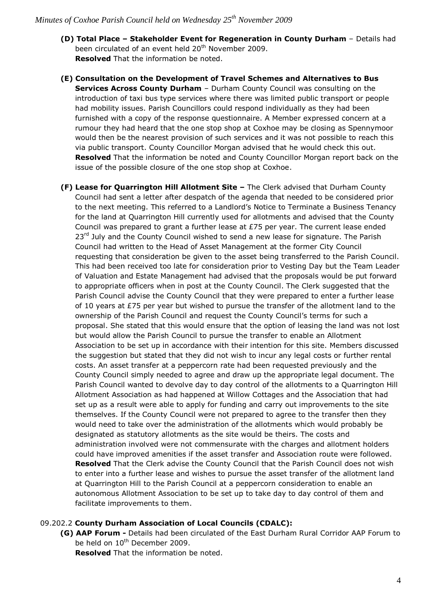- **(D) Total Place – Stakeholder Event for Regeneration in County Durham** Details had been circulated of an event held 20<sup>th</sup> November 2009. **Resolved** That the information be noted.
- **(E) Consultation on the Development of Travel Schemes and Alternatives to Bus Services Across County Durham** - Durham County Council was consulting on the introduction of taxi bus type services where there was limited public transport or people had mobility issues. Parish Councillors could respond individually as they had been furnished with a copy of the response questionnaire. A Member expressed concern at a rumour they had heard that the one stop shop at Coxhoe may be closing as Spennymoor would then be the nearest provision of such services and it was not possible to reach this via public transport. County Councillor Morgan advised that he would check this out. **Resolved** That the information be noted and County Councillor Morgan report back on the issue of the possible closure of the one stop shop at Coxhoe.
- **(F) Lease for Quarrington Hill Allotment Site –** The Clerk advised that Durham County Council had sent a letter after despatch of the agenda that needed to be considered prior to the next meeting. This referred to a Landlord's Notice to Terminate a Business Tenancy for the land at Quarrington Hill currently used for allotments and advised that the County Council was prepared to grant a further lease at £75 per year. The current lease ended  $23<sup>rd</sup>$  July and the County Council wished to send a new lease for signature. The Parish Council had written to the Head of Asset Management at the former City Council requesting that consideration be given to the asset being transferred to the Parish Council. This had been received too late for consideration prior to Vesting Day but the Team Leader of Valuation and Estate Management had advised that the proposals would be put forward to appropriate officers when in post at the County Council. The Clerk suggested that the Parish Council advise the County Council that they were prepared to enter a further lease of 10 years at £75 per year but wished to pursue the transfer of the allotment land to the ownership of the Parish Council and request the County Council's terms for such a proposal. She stated that this would ensure that the option of leasing the land was not lost but would allow the Parish Council to pursue the transfer to enable an Allotment Association to be set up in accordance with their intention for this site. Members discussed the suggestion but stated that they did not wish to incur any legal costs or further rental costs. An asset transfer at a peppercorn rate had been requested previously and the County Council simply needed to agree and draw up the appropriate legal document. The Parish Council wanted to devolve day to day control of the allotments to a Quarrington Hill Allotment Association as had happened at Willow Cottages and the Association that had set up as a result were able to apply for funding and carry out improvements to the site themselves. If the County Council were not prepared to agree to the transfer then they would need to take over the administration of the allotments which would probably be designated as statutory allotments as the site would be theirs. The costs and administration involved were not commensurate with the charges and allotment holders could have improved amenities if the asset transfer and Association route were followed. **Resolved** That the Clerk advise the County Council that the Parish Council does not wish to enter into a further lease and wishes to pursue the asset transfer of the allotment land at Quarrington Hill to the Parish Council at a peppercorn consideration to enable an autonomous Allotment Association to be set up to take day to day control of them and facilitate improvements to them.

#### 09.202.2 **County Durham Association of Local Councils (CDALC):**

**(G) AAP Forum -** Details had been circulated of the East Durham Rural Corridor AAP Forum to be held on  $10^{th}$  December 2009.

**Resolved** That the information be noted.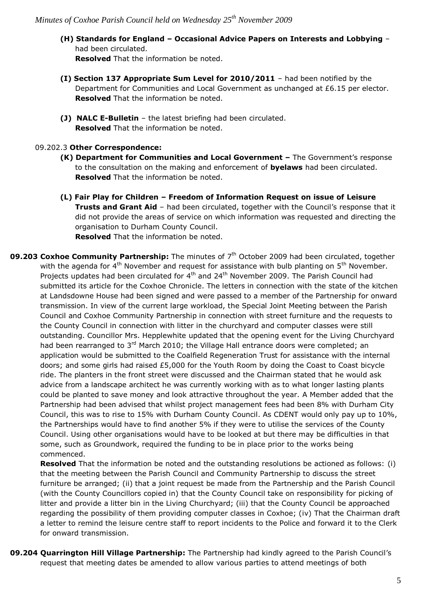**(H) Standards for England – Occasional Advice Papers on Interests and Lobbying** – had been circulated.

**Resolved** That the information be noted.

- **(I) Section 137 Appropriate Sum Level for 2010/2011** had been notified by the Department for Communities and Local Government as unchanged at £6.15 per elector. **Resolved** That the information be noted.
- **(J) NALC E-Bulletin**  the latest briefing had been circulated. **Resolved** That the information be noted.

#### 09.202.3 **Other Correspondence:**

- **(K) Department for Communities and Local Government –** The Government's response to the consultation on the making and enforcement of **byelaws** had been circulated. **Resolved** That the information be noted.
- **(L) Fair Play for Children – Freedom of Information Request on issue of Leisure Trusts and Grant Aid** – had been circulated, together with the Council's response that it did not provide the areas of service on which information was requested and directing the organisation to Durham County Council.

**Resolved** That the information be noted.

**09.203 Coxhoe Community Partnership:** The minutes of 7<sup>th</sup> October 2009 had been circulated, together with the agenda for  $4<sup>th</sup>$  November and request for assistance with bulb planting on  $5<sup>th</sup>$  November. Projects updates had been circulated for  $4<sup>th</sup>$  and 24 $<sup>th</sup>$  November 2009. The Parish Council had</sup> submitted its article for the Coxhoe Chronicle. The letters in connection with the state of the kitchen at Landsdowne House had been signed and were passed to a member of the Partnership for onward transmission. In view of the current large workload, the Special Joint Meeting between the Parish Council and Coxhoe Community Partnership in connection with street furniture and the requests to the County Council in connection with litter in the churchyard and computer classes were still outstanding. Councillor Mrs. Hepplewhite updated that the opening event for the Living Churchyard had been rearranged to 3<sup>rd</sup> March 2010; the Village Hall entrance doors were completed; an application would be submitted to the Coalfield Regeneration Trust for assistance with the internal doors; and some girls had raised £5,000 for the Youth Room by doing the Coast to Coast bicycle ride. The planters in the front street were discussed and the Chairman stated that he would ask advice from a landscape architect he was currently working with as to what longer lasting plants could be planted to save money and look attractive throughout the year. A Member added that the Partnership had been advised that whilst project management fees had been 8% with Durham City Council, this was to rise to 15% with Durham County Council. As CDENT would only pay up to 10%, the Partnerships would have to find another 5% if they were to utilise the services of the County Council. Using other organisations would have to be looked at but there may be difficulties in that some, such as Groundwork, required the funding to be in place prior to the works being commenced.

**Resolved** That the information be noted and the outstanding resolutions be actioned as follows: (i) that the meeting between the Parish Council and Community Partnership to discuss the street furniture be arranged; (ii) that a joint request be made from the Partnership and the Parish Council (with the County Councillors copied in) that the County Council take on responsibility for picking of litter and provide a litter bin in the Living Churchyard; (iii) that the County Council be approached regarding the possibility of them providing computer classes in Coxhoe; (iv) That the Chairman draft a letter to remind the leisure centre staff to report incidents to the Police and forward it to the Clerk for onward transmission.

**09.204 Quarrington Hill Village Partnership:** The Partnership had kindly agreed to the Parish Council's request that meeting dates be amended to allow various parties to attend meetings of both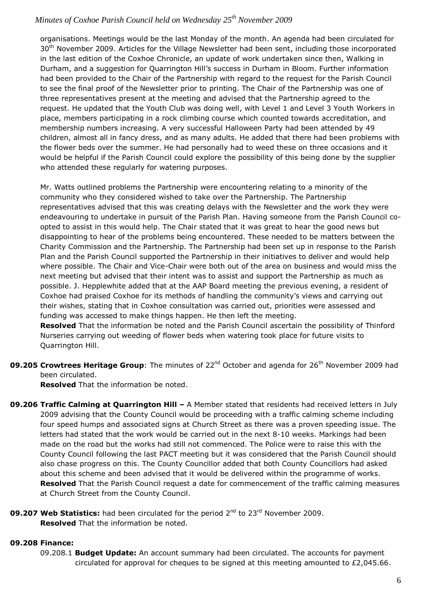organisations. Meetings would be the last Monday of the month. An agenda had been circulated for 30<sup>th</sup> November 2009. Articles for the Village Newsletter had been sent, including those incorporated in the last edition of the Coxhoe Chronicle, an update of work undertaken since then, Walking in Durham, and a suggestion for Quarrington Hill's success in Durham in Bloom. Further information had been provided to the Chair of the Partnership with regard to the request for the Parish Council to see the final proof of the Newsletter prior to printing. The Chair of the Partnership was one of three representatives present at the meeting and advised that the Partnership agreed to the request. He updated that the Youth Club was doing well, with Level 1 and Level 3 Youth Workers in place, members participating in a rock climbing course which counted towards accreditation, and membership numbers increasing. A very successful Halloween Party had been attended by 49 children, almost all in fancy dress, and as many adults. He added that there had been problems with the flower beds over the summer. He had personally had to weed these on three occasions and it would be helpful if the Parish Council could explore the possibility of this being done by the supplier who attended these regularly for watering purposes.

Mr. Watts outlined problems the Partnership were encountering relating to a minority of the community who they considered wished to take over the Partnership. The Partnership representatives advised that this was creating delays with the Newsletter and the work they were endeavouring to undertake in pursuit of the Parish Plan. Having someone from the Parish Council coopted to assist in this would help. The Chair stated that it was great to hear the good news but disappointing to hear of the problems being encountered. These needed to be matters between the Charity Commission and the Partnership. The Partnership had been set up in response to the Parish Plan and the Parish Council supported the Partnership in their initiatives to deliver and would help where possible. The Chair and Vice-Chair were both out of the area on business and would miss the next meeting but advised that their intent was to assist and support the Partnership as much as possible. J. Hepplewhite added that at the AAP Board meeting the previous evening, a resident of Coxhoe had praised Coxhoe for its methods of handling the community's views and carrying out their wishes, stating that in Coxhoe consultation was carried out, priorities were assessed and funding was accessed to make things happen. He then left the meeting.

**Resolved** That the information be noted and the Parish Council ascertain the possibility of Thinford Nurseries carrying out weeding of flower beds when watering took place for future visits to Quarrington Hill.

**09.205 Crowtrees Heritage Group**: The minutes of 22<sup>nd</sup> October and agenda for 26<sup>th</sup> November 2009 had been circulated.

**Resolved** That the information be noted.

- **09.206 Traffic Calming at Quarrington Hill –** A Member stated that residents had received letters in July 2009 advising that the County Council would be proceeding with a traffic calming scheme including four speed humps and associated signs at Church Street as there was a proven speeding issue. The letters had stated that the work would be carried out in the next 8-10 weeks. Markings had been made on the road but the works had still not commenced. The Police were to raise this with the County Council following the last PACT meeting but it was considered that the Parish Council should also chase progress on this. The County Councillor added that both County Councillors had asked about this scheme and been advised that it would be delivered within the programme of works. **Resolved** That the Parish Council request a date for commencement of the traffic calming measures at Church Street from the County Council.
- **09.207 Web Statistics:** had been circulated for the period 2<sup>nd</sup> to 23<sup>rd</sup> November 2009. **Resolved** That the information be noted.

#### **09.208 Finance:**

09.208.1 **Budget Update:** An account summary had been circulated. The accounts for payment circulated for approval for cheques to be signed at this meeting amounted to  $£2,045.66$ .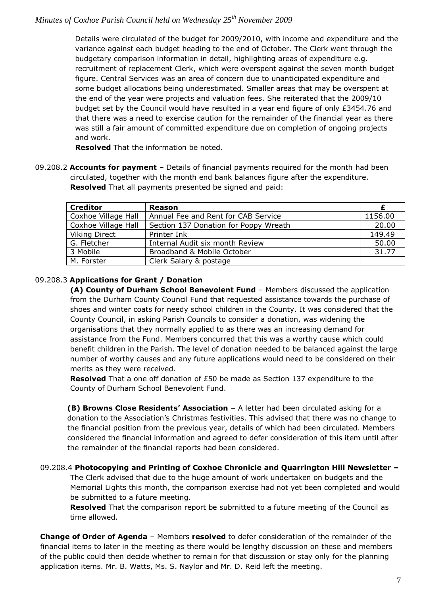Details were circulated of the budget for 2009/2010, with income and expenditure and the variance against each budget heading to the end of October. The Clerk went through the budgetary comparison information in detail, highlighting areas of expenditure e.g. recruitment of replacement Clerk, which were overspent against the seven month budget figure. Central Services was an area of concern due to unanticipated expenditure and some budget allocations being underestimated. Smaller areas that may be overspent at the end of the year were projects and valuation fees. She reiterated that the 2009/10 budget set by the Council would have resulted in a year end figure of only £3454.76 and that there was a need to exercise caution for the remainder of the financial year as there was still a fair amount of committed expenditure due on completion of ongoing projects and work.

**Resolved** That the information be noted.

09.208.2 **Accounts for payment** – Details of financial payments required for the month had been circulated, together with the month end bank balances figure after the expenditure. **Resolved** That all payments presented be signed and paid:

| <b>Creditor</b>     | <b>Reason</b>                         |         |
|---------------------|---------------------------------------|---------|
| Coxhoe Village Hall | Annual Fee and Rent for CAB Service   | 1156.00 |
| Coxhoe Village Hall | Section 137 Donation for Poppy Wreath | 20.00   |
| Viking Direct       | Printer Ink                           | 149.49  |
| G. Fletcher         | Internal Audit six month Review       | 50.00   |
| 3 Mobile            | Broadband & Mobile October            | 31.77   |
| M. Forster          | Clerk Salary & postage                |         |

#### 09.208.3 **Applications for Grant / Donation**

**(A) County of Durham School Benevolent Fund** – Members discussed the application from the Durham County Council Fund that requested assistance towards the purchase of shoes and winter coats for needy school children in the County. It was considered that the County Council, in asking Parish Councils to consider a donation, was widening the organisations that they normally applied to as there was an increasing demand for assistance from the Fund. Members concurred that this was a worthy cause which could benefit children in the Parish. The level of donation needed to be balanced against the large number of worthy causes and any future applications would need to be considered on their merits as they were received.

**Resolved** That a one off donation of £50 be made as Section 137 expenditure to the County of Durham School Benevolent Fund.

**(B) Browns Close Residents' Association –** A letter had been circulated asking for a donation to the Association's Christmas festivities. This advised that there was no change to the financial position from the previous year, details of which had been circulated. Members considered the financial information and agreed to defer consideration of this item until after the remainder of the financial reports had been considered.

#### 09.208.4 **Photocopying and Printing of Coxhoe Chronicle and Quarrington Hill Newsletter –**

The Clerk advised that due to the huge amount of work undertaken on budgets and the Memorial Lights this month, the comparison exercise had not yet been completed and would be submitted to a future meeting.

**Resolved** That the comparison report be submitted to a future meeting of the Council as time allowed.

**Change of Order of Agenda** – Members **resolved** to defer consideration of the remainder of the financial items to later in the meeting as there would be lengthy discussion on these and members of the public could then decide whether to remain for that discussion or stay only for the planning application items. Mr. B. Watts, Ms. S. Naylor and Mr. D. Reid left the meeting.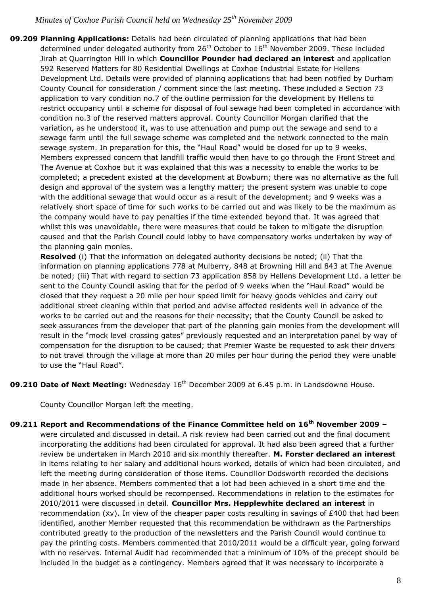**09.209 Planning Applications:** Details had been circulated of planning applications that had been determined under delegated authority from  $26<sup>th</sup>$  October to  $16<sup>th</sup>$  November 2009. These included Jirah at Quarrington Hill in which **Councillor Pounder had declared an interest** and application 592 Reserved Matters for 80 Residential Dwellings at Coxhoe Industrial Estate for Hellens Development Ltd. Details were provided of planning applications that had been notified by Durham County Council for consideration / comment since the last meeting. These included a Section 73 application to vary condition no.7 of the outline permission for the development by Hellens to restrict occupancy until a scheme for disposal of foul sewage had been completed in accordance with condition no.3 of the reserved matters approval. County Councillor Morgan clarified that the variation, as he understood it, was to use attenuation and pump out the sewage and send to a sewage farm until the full sewage scheme was completed and the network connected to the main sewage system. In preparation for this, the "Haul Road" would be closed for up to 9 weeks. Members expressed concern that landfill traffic would then have to go through the Front Street and The Avenue at Coxhoe but it was explained that this was a necessity to enable the works to be completed; a precedent existed at the development at Bowburn; there was no alternative as the full design and approval of the system was a lengthy matter; the present system was unable to cope with the additional sewage that would occur as a result of the development; and 9 weeks was a relatively short space of time for such works to be carried out and was likely to be the maximum as the company would have to pay penalties if the time extended beyond that. It was agreed that whilst this was unavoidable, there were measures that could be taken to mitigate the disruption caused and that the Parish Council could lobby to have compensatory works undertaken by way of the planning gain monies.

**Resolved** (i) That the information on delegated authority decisions be noted; (ii) That the information on planning applications 778 at Mulberry, 848 at Browning Hill and 843 at The Avenue be noted; (iii) That with regard to section 73 application 858 by Hellens Development Ltd. a letter be sent to the County Council asking that for the period of 9 weeks when the "Haul Road" would be closed that they request a 20 mile per hour speed limit for heavy goods vehicles and carry out additional street cleaning within that period and advise affected residents well in advance of the works to be carried out and the reasons for their necessity; that the County Council be asked to seek assurances from the developer that part of the planning gain monies from the development will result in the "mock level crossing gates" previously requested and an interpretation panel by way of compensation for the disruption to be caused; that Premier Waste be requested to ask their drivers to not travel through the village at more than 20 miles per hour during the period they were unable to use the "Haul Road".

**09.210 Date of Next Meeting:** Wednesday 16<sup>th</sup> December 2009 at 6.45 p.m. in Landsdowne House.

County Councillor Morgan left the meeting.

**09.211 Report and Recommendations of the Finance Committee held on 16th November 2009 –** were circulated and discussed in detail. A risk review had been carried out and the final document incorporating the additions had been circulated for approval. It had also been agreed that a further review be undertaken in March 2010 and six monthly thereafter. **M. Forster declared an interest** in items relating to her salary and additional hours worked, details of which had been circulated, and left the meeting during consideration of those items. Councillor Dodsworth recorded the decisions made in her absence. Members commented that a lot had been achieved in a short time and the additional hours worked should be recompensed. Recommendations in relation to the estimates for 2010/2011 were discussed in detail. **Councillor Mrs. Hepplewhite declared an interest** in recommendation (xv). In view of the cheaper paper costs resulting in savings of  $E400$  that had been identified, another Member requested that this recommendation be withdrawn as the Partnerships contributed greatly to the production of the newsletters and the Parish Council would continue to pay the printing costs. Members commented that 2010/2011 would be a difficult year, going forward with no reserves. Internal Audit had recommended that a minimum of 10% of the precept should be included in the budget as a contingency. Members agreed that it was necessary to incorporate a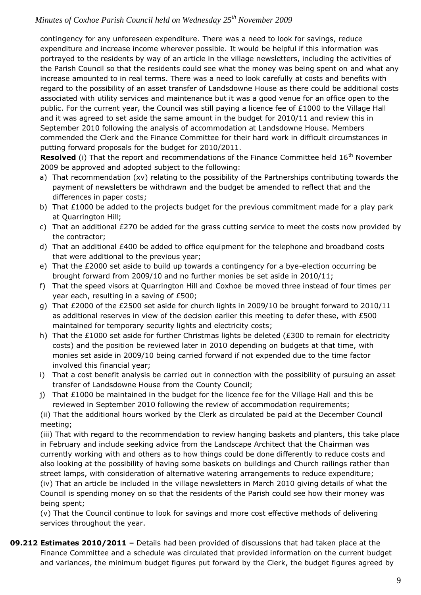contingency for any unforeseen expenditure. There was a need to look for savings, reduce expenditure and increase income wherever possible. It would be helpful if this information was portrayed to the residents by way of an article in the village newsletters, including the activities of the Parish Council so that the residents could see what the money was being spent on and what any increase amounted to in real terms. There was a need to look carefully at costs and benefits with regard to the possibility of an asset transfer of Landsdowne House as there could be additional costs associated with utility services and maintenance but it was a good venue for an office open to the public. For the current year, the Council was still paying a licence fee of £1000 to the Village Hall and it was agreed to set aside the same amount in the budget for 2010/11 and review this in September 2010 following the analysis of accommodation at Landsdowne House. Members commended the Clerk and the Finance Committee for their hard work in difficult circumstances in putting forward proposals for the budget for 2010/2011.

**Resolved** (i) That the report and recommendations of the Finance Committee held 16<sup>th</sup> November 2009 be approved and adopted subject to the following:

- a) That recommendation (xv) relating to the possibility of the Partnerships contributing towards the payment of newsletters be withdrawn and the budget be amended to reflect that and the differences in paper costs;
- b) That  $£1000$  be added to the projects budget for the previous commitment made for a play park at Quarrington Hill;
- c) That an additional  $E270$  be added for the grass cutting service to meet the costs now provided by the contractor;
- d) That an additional £400 be added to office equipment for the telephone and broadband costs that were additional to the previous year;
- e) That the £2000 set aside to build up towards a contingency for a bye-election occurring be brought forward from 2009/10 and no further monies be set aside in 2010/11;
- f) That the speed visors at Quarrington Hill and Coxhoe be moved three instead of four times per year each, resulting in a saving of £500;
- g) That £2000 of the £2500 set aside for church lights in 2009/10 be brought forward to 2010/11 as additional reserves in view of the decision earlier this meeting to defer these, with £500 maintained for temporary security lights and electricity costs;
- h) That the £1000 set aside for further Christmas lights be deleted (£300 to remain for electricity costs) and the position be reviewed later in 2010 depending on budgets at that time, with monies set aside in 2009/10 being carried forward if not expended due to the time factor involved this financial year;
- i) That a cost benefit analysis be carried out in connection with the possibility of pursuing an asset transfer of Landsdowne House from the County Council;
- j) That  $£1000$  be maintained in the budget for the licence fee for the Village Hall and this be reviewed in September 2010 following the review of accommodation requirements;

(ii) That the additional hours worked by the Clerk as circulated be paid at the December Council meeting;

(iii) That with regard to the recommendation to review hanging baskets and planters, this take place in February and include seeking advice from the Landscape Architect that the Chairman was currently working with and others as to how things could be done differently to reduce costs and also looking at the possibility of having some baskets on buildings and Church railings rather than street lamps, with consideration of alternative watering arrangements to reduce expenditure; (iv) That an article be included in the village newsletters in March 2010 giving details of what the Council is spending money on so that the residents of the Parish could see how their money was being spent;

(v) That the Council continue to look for savings and more cost effective methods of delivering services throughout the year.

**09.212 Estimates 2010/2011 –** Details had been provided of discussions that had taken place at the Finance Committee and a schedule was circulated that provided information on the current budget and variances, the minimum budget figures put forward by the Clerk, the budget figures agreed by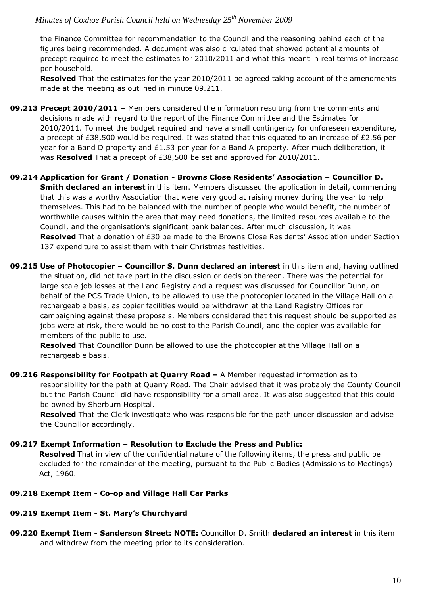the Finance Committee for recommendation to the Council and the reasoning behind each of the figures being recommended. A document was also circulated that showed potential amounts of precept required to meet the estimates for 2010/2011 and what this meant in real terms of increase per household.

**Resolved** That the estimates for the year 2010/2011 be agreed taking account of the amendments made at the meeting as outlined in minute 09.211.

- **09.213 Precept 2010/2011 –** Members considered the information resulting from the comments and decisions made with regard to the report of the Finance Committee and the Estimates for 2010/2011. To meet the budget required and have a small contingency for unforeseen expenditure, a precept of £38,500 would be required. It was stated that this equated to an increase of £2.56 per year for a Band D property and £1.53 per year for a Band A property. After much deliberation, it was **Resolved** That a precept of £38,500 be set and approved for 2010/2011.
- **09.214 Application for Grant / Donation - Browns Close Residents' Association – Councillor D. Smith declared an interest** in this item. Members discussed the application in detail, commenting that this was a worthy Association that were very good at raising money during the year to help themselves. This had to be balanced with the number of people who would benefit, the number of worthwhile causes within the area that may need donations, the limited resources available to the Council, and the organisation's significant bank balances. After much discussion, it was **Resolved** That a donation of £30 be made to the Browns Close Residents' Association under Section 137 expenditure to assist them with their Christmas festivities.
- **09.215 Use of Photocopier – Councillor S. Dunn declared an interest** in this item and, having outlined the situation, did not take part in the discussion or decision thereon. There was the potential for large scale job losses at the Land Registry and a request was discussed for Councillor Dunn, on behalf of the PCS Trade Union, to be allowed to use the photocopier located in the Village Hall on a rechargeable basis, as copier facilities would be withdrawn at the Land Registry Offices for campaigning against these proposals. Members considered that this request should be supported as jobs were at risk, there would be no cost to the Parish Council, and the copier was available for members of the public to use.

**Resolved** That Councillor Dunn be allowed to use the photocopier at the Village Hall on a rechargeable basis.

**09.216 Responsibility for Footpath at Quarry Road –** A Member requested information as to responsibility for the path at Quarry Road. The Chair advised that it was probably the County Council but the Parish Council did have responsibility for a small area. It was also suggested that this could be owned by Sherburn Hospital.

**Resolved** That the Clerk investigate who was responsible for the path under discussion and advise the Councillor accordingly.

#### **09.217 Exempt Information – Resolution to Exclude the Press and Public:**

**Resolved** That in view of the confidential nature of the following items, the press and public be excluded for the remainder of the meeting, pursuant to the Public Bodies (Admissions to Meetings) Act, 1960.

#### **09.218 Exempt Item - Co-op and Village Hall Car Parks**

## **09.219 Exempt Item - St. Mary's Churchyard**

**09.220 Exempt Item - Sanderson Street: NOTE:** Councillor D. Smith **declared an interest** in this item and withdrew from the meeting prior to its consideration.